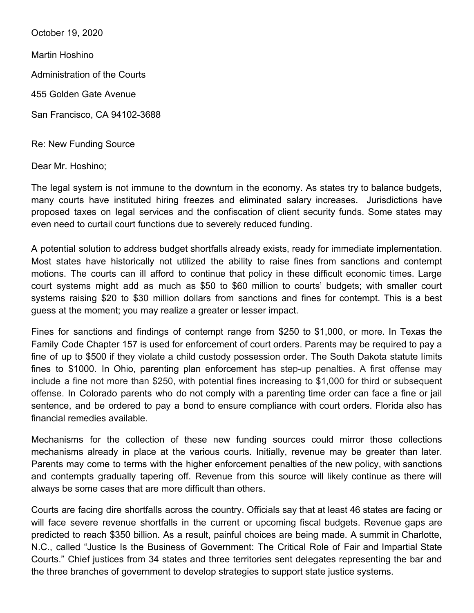October 19, 2020

Martin Hoshino

Administration of the Courts

455 Golden Gate Avenue

San Francisco, CA 94102-3688

Re: New Funding Source

Dear Mr. Hoshino;

The legal system is not immune to the downturn in the economy. As states try to balance budgets, many courts have instituted hiring freezes and eliminated salary increases. Jurisdictions have proposed taxes on legal services and the confiscation of client security funds. Some states may even need to curtail court functions due to severely reduced funding.

A potential solution to address budget shortfalls already exists, ready for immediate implementation. Most states have historically not utilized the ability to raise fines from sanctions and contempt motions. The courts can ill afford to continue that policy in these difficult economic times. Large court systems might add as much as \$50 to \$60 million to courts' budgets; with smaller court systems raising \$20 to \$30 million dollars from sanctions and fines for contempt. This is a best guess at the moment; you may realize a greater or lesser impact.

Fines for sanctions and findings of contempt range from \$250 to \$1,000, or more. In Texas the Family Code Chapter 157 is used for enforcement of court orders. Parents may be required to pay a fine of up to \$500 if they violate a child custody possession order. The South Dakota statute limits fines to \$1000. In Ohio, parenting plan enforcement has step-up penalties. A first offense may include a fine not more than \$250, with potential fines increasing to \$1,000 for third or subsequent offense. In Colorado parents who do not comply with a parenting time order can face a fine or jail sentence, and be ordered to pay a bond to ensure compliance with court orders. Florida also has financial remedies available.

Mechanisms for the collection of these new funding sources could mirror those collections mechanisms already in place at the various courts. Initially, revenue may be greater than later. Parents may come to terms with the higher enforcement penalties of the new policy, with sanctions and contempts gradually tapering off. Revenue from this source will likely continue as there will always be some cases that are more difficult than others.

Courts are facing dire shortfalls across the country. Officials say that at least 46 states are facing or will face severe revenue shortfalls in the current or upcoming fiscal budgets. Revenue gaps are predicted to reach \$350 billion. As a result, painful choices are being made. A summit in Charlotte, N.C., called "Justice Is the Business of Government: The Critical Role of Fair and Impartial State Courts." Chief justices from 34 states and three territories sent delegates representing the bar and the three branches of government to develop strategies to support state justice systems.